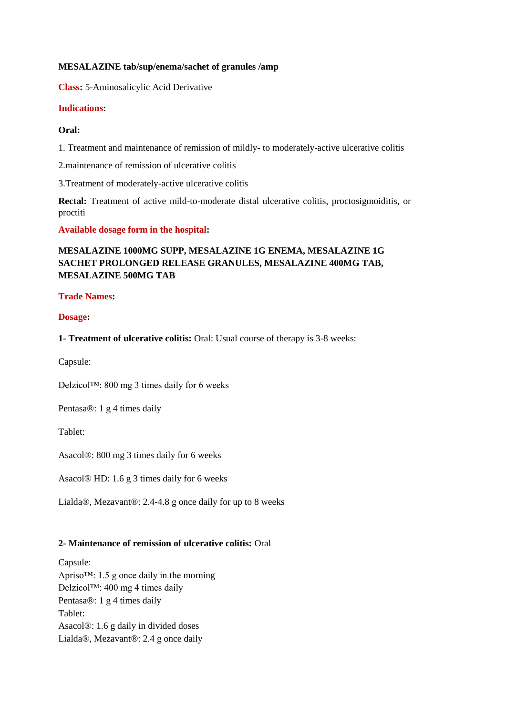# **MESALAZINE tab/sup/enema/sachet of granules /amp**

**Class:** 5-Aminosalicylic Acid Derivative

# **Indications:**

# **Oral:**

1. Treatment and maintenance of remission of mildly- to moderately-active ulcerative colitis

2.maintenance of remission of ulcerative colitis

3.Treatment of moderately-active ulcerative colitis

**Rectal:** Treatment of active mild-to-moderate distal ulcerative colitis, proctosigmoiditis, or proctiti

**Available dosage form in the hospital:** 

# **MESALAZINE 1000MG SUPP, MESALAZINE 1G ENEMA, MESALAZINE 1G SACHET PROLONGED RELEASE GRANULES, MESALAZINE 400MG TAB, MESALAZINE 500MG TAB**

# **Trade Names:**

# **Dosage:**

**1- Treatment of ulcerative colitis:** Oral: Usual course of therapy is 3-8 weeks:

Capsule:

Delzicol™: 800 mg 3 times daily for 6 weeks

Pentasa®: 1 g 4 times daily

Tablet:

Asacol®: 800 mg 3 times daily for 6 weeks

Asacol® HD: 1.6 g 3 times daily for 6 weeks

Lialda®, Mezavant®: 2.4-4.8 g once daily for up to 8 weeks

# **2- Maintenance of remission of ulcerative colitis:** Oral

Capsule: Apriso™: 1.5 g once daily in the morning Delzicol™: 400 mg 4 times daily Pentasa®: 1 g 4 times daily Tablet: Asacol®: 1.6 g daily in divided doses Lialda®, Mezavant®: 2.4 g once daily